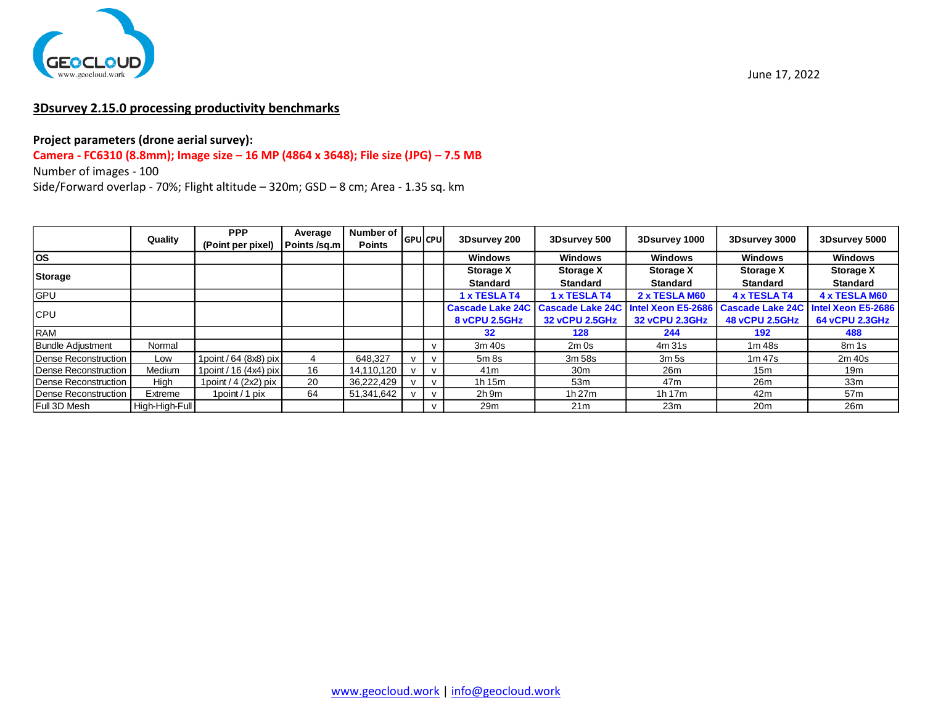

# **3Dsurvey 2.15.0 processing productivity benchmarks**

### **Project parameters (drone aerial survey):**

### **Camera - FC6310 (8.8mm); Image size – 16 MP (4864 x 3648); File size (JPG) – 7.5 MB**

Number of images - 100

|                          | Quality        | <b>PPP</b><br>(Point per pixel) | Average<br>Points /sq.m | Number of I<br><b>Points</b> | <b>GPU</b> CPU |              | 3Dsurvey 200            | 3Dsurvey 500            | 3Dsurvey 1000      | 3Dsurvey 3000           | 3Dsurvey 5000      |
|--------------------------|----------------|---------------------------------|-------------------------|------------------------------|----------------|--------------|-------------------------|-------------------------|--------------------|-------------------------|--------------------|
| <b>OS</b>                |                |                                 |                         |                              |                |              | Windows                 | Windows                 | <b>Windows</b>     | <b>Windows</b>          | <b>Windows</b>     |
| Storage                  |                |                                 |                         |                              |                |              | <b>Storage X</b>        | <b>Storage X</b>        | <b>Storage X</b>   | <b>Storage X</b>        | <b>Storage X</b>   |
|                          |                |                                 |                         |                              |                |              | <b>Standard</b>         | <b>Standard</b>         | <b>Standard</b>    | Standard                | <b>Standard</b>    |
| <b>GPU</b>               |                |                                 |                         |                              |                |              | 1 x TESLA T4            | 1 x TESLA T4            | 2 x TESLA M60      | 4 x TESLA T4            | 4 x TESLA M60      |
| <b>CPU</b>               |                |                                 |                         |                              |                |              | <b>Cascade Lake 24C</b> | <b>Cascade Lake 24C</b> | Intel Xeon E5-2686 | <b>Cascade Lake 24C</b> | Intel Xeon E5-2686 |
|                          |                |                                 |                         |                              |                |              | 8 vCPU 2.5GHz           | 32 vCPU 2.5GHz          | 32 vCPU 2.3GHz     | <b>48 vCPU 2.5GHz</b>   | 64 vCPU 2.3GHz     |
| RAM                      |                |                                 |                         |                              |                |              | 32                      | 128                     | 244                | 192                     | 488                |
| <b>Bundle Adjustment</b> | Normal         |                                 |                         |                              |                | $\mathsf{v}$ | 3m 40s                  | $2m$ 0s                 | 4m 31s             | 1m 48s                  | 8m 1s              |
| Dense Reconstruction     | Low            | 1 point / 64 (8x8) pix          | 4                       | 648,327                      |                | $\mathsf{v}$ | $5m$ 8s                 | 3m 58s                  | 3m <sub>5s</sub>   | 1m <sub>47s</sub>       | 2m 40s             |
| Dense Reconstruction     | Medium         | 1 point / $16(4x4)$ pix         | 16                      | 14,110,120                   |                | v            | 41 <sub>m</sub>         | 30m                     | 26m                | 15m                     | 19m                |
| Dense Reconstruction     | High           | 1 point $/$ 4 (2x2) pix         | 20                      | 36.222.429                   |                | $\mathsf{v}$ | 1h 15m                  | 53 <sub>m</sub>         | 47 <sub>m</sub>    | 26m                     | 33 <sub>m</sub>    |
| Dense Reconstruction     | Extreme        | 1point / 1 pix                  | 64                      | 51,341,642                   |                | $\mathsf{v}$ | $2h$ 9m                 | 1h27m                   | 1h 17m             | 42m                     | 57 <sub>m</sub>    |
| Full 3D Mesh             | High-High-Full |                                 |                         |                              |                |              | 29m                     | 21 <sub>m</sub>         | 23m                | 20 <sub>m</sub>         | 26m                |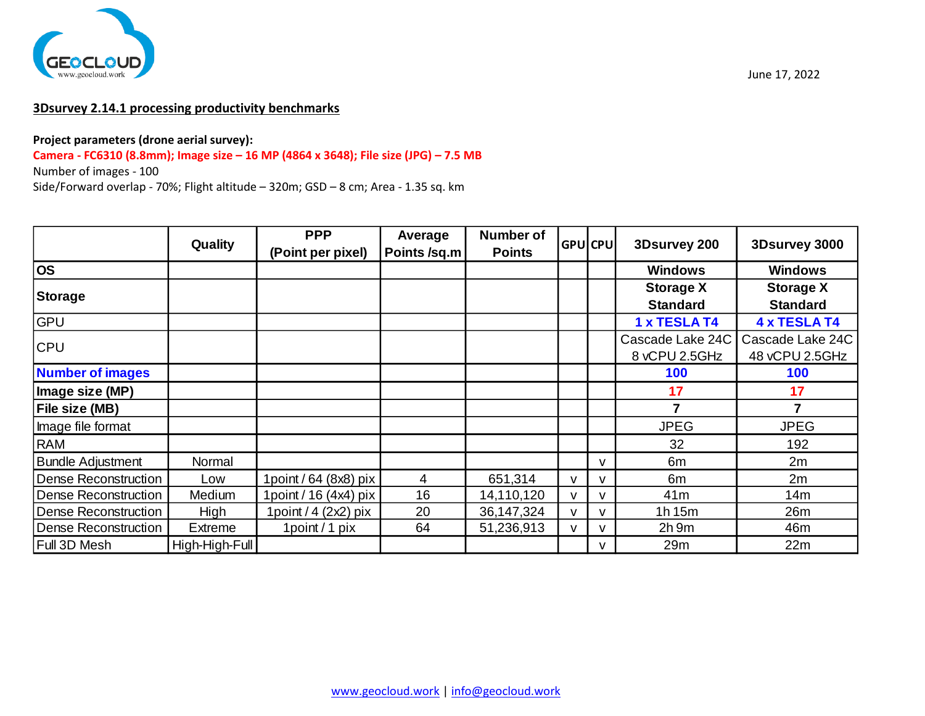

# **3Dsurvey 2.14.1 processing productivity benchmarks**

#### **Project parameters (drone aerial survey):**

**Camera - FC6310 (8.8mm); Image size – 16 MP (4864 x 3648); File size (JPG) – 7.5 MB**

Number of images - 100

|                             | Quality        | <b>PPP</b>              | Average      | <b>Number of</b> |   | <b>GPU</b> CPU | 3Dsurvey 200     | 3Dsurvey 3000       |  |
|-----------------------------|----------------|-------------------------|--------------|------------------|---|----------------|------------------|---------------------|--|
|                             |                | (Point per pixel)       | Points /sq.m | <b>Points</b>    |   |                |                  |                     |  |
| <b>OS</b>                   |                |                         |              |                  |   |                | <b>Windows</b>   | <b>Windows</b>      |  |
| Storage                     |                |                         |              |                  |   |                | <b>Storage X</b> | <b>Storage X</b>    |  |
|                             |                |                         |              |                  |   |                | <b>Standard</b>  | <b>Standard</b>     |  |
| <b>GPU</b>                  |                |                         |              |                  |   |                | 1 x TESLA T4     | <b>4 x TESLA T4</b> |  |
| <b>CPU</b>                  |                |                         |              |                  |   |                | Cascade Lake 24C | Cascade Lake 24C    |  |
|                             |                |                         |              |                  |   |                | 8 vCPU 2.5GHz    | 48 vCPU 2.5GHz      |  |
| <b>Number of images</b>     |                |                         |              |                  |   |                | 100              | 100                 |  |
| Image size (MP)             |                |                         |              |                  |   |                | 17               | 17                  |  |
| File size (MB)              |                |                         |              |                  |   |                | 7                |                     |  |
| Image file format           |                |                         |              |                  |   |                | <b>JPEG</b>      | <b>JPEG</b>         |  |
| <b>RAM</b>                  |                |                         |              |                  |   |                | 32               | 192                 |  |
| <b>Bundle Adjustment</b>    | Normal         |                         |              |                  |   | $\mathsf{v}$   | 6m               | 2m                  |  |
| <b>Dense Reconstruction</b> | Low            | 1point / 64 (8x8) pix   | 4            | 651,314          | v | v              | 6m               | 2m                  |  |
| <b>Dense Reconstruction</b> | Medium         | 1point / 16 (4x4) pix   | 16           | 14,110,120       |   |                | 41 <sub>m</sub>  | 14m                 |  |
| Dense Reconstruction        | High           | 1 point / $4$ (2x2) pix | 20           | 36, 147, 324     |   |                | 1h15m            | 26m                 |  |
| Dense Reconstruction        | <b>Extreme</b> | 1point / 1 pix          | 64           | 51,236,913       |   | v              | $2h$ 9m          | 46m                 |  |
| Full 3D Mesh                | High-High-Full |                         |              |                  |   | v              | 29m              | 22m                 |  |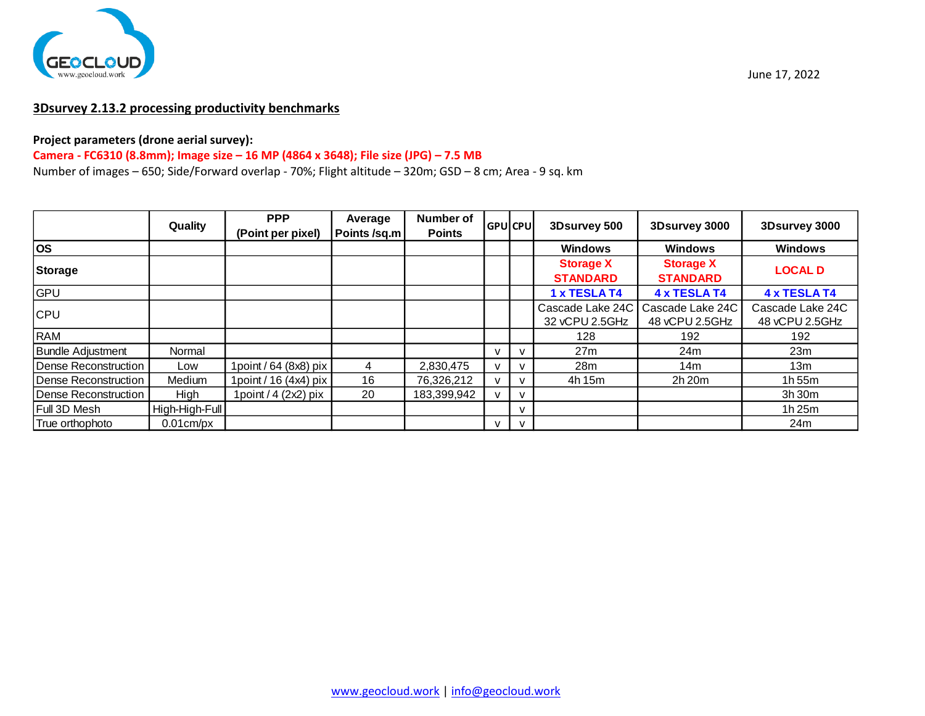

### **3Dsurvey 2.13.2 processing productivity benchmarks**

#### **Project parameters (drone aerial survey):**

### **Camera - FC6310 (8.8mm); Image size – 16 MP (4864 x 3648); File size (JPG) – 7.5 MB**

Number of images – 650; Side/Forward overlap - 70%; Flight altitude – 320m; GSD – 8 cm; Area - 9 sq. km

|                             |                | <b>PPP</b>              | Average      | <b>Number of</b> |                  |              |                                     |                                                         |                                    |  |
|-----------------------------|----------------|-------------------------|--------------|------------------|------------------|--------------|-------------------------------------|---------------------------------------------------------|------------------------------------|--|
|                             | Quality        | (Point per pixel)       | Points /sq.m | <b>Points</b>    | <b>IGPUICPUI</b> |              | 3Dsurvey 500                        | 3Dsurvey 3000                                           | 3Dsurvey 3000                      |  |
| los                         |                |                         |              |                  |                  |              | <b>Windows</b>                      | Windows                                                 | <b>Windows</b>                     |  |
| Storage                     |                |                         |              |                  |                  |              | <b>Storage X</b><br><b>STANDARD</b> | <b>Storage X</b><br><b>STANDARD</b>                     | <b>LOCAL D</b>                     |  |
| GPU                         |                |                         |              |                  |                  |              | 1 x TESLA T4                        | 4 x TESLA T4                                            | 4 x TESLA T4                       |  |
| <b>CPU</b>                  |                |                         |              |                  |                  |              | 32 vCPU 2.5GHz                      | Cascade Lake 24C   Cascade Lake 24C  <br>48 vCPU 2.5GHz | Cascade Lake 24C<br>48 vCPU 2.5GHz |  |
| RAM                         |                |                         |              |                  |                  |              | 128                                 | 192                                                     | 192                                |  |
| <b>Bundle Adjustment</b>    | Normal         |                         |              |                  |                  | $\mathsf{v}$ | 27 <sub>m</sub>                     | 24m                                                     | 23m                                |  |
| Dense Reconstruction        | Low            | 1 point / 64 (8x8) pix  | 4            | 2,830,475        |                  | v            | 28 <sub>m</sub>                     | 14m                                                     | 13m                                |  |
| Dense Reconstruction        | Medium         | 1 point / 16 (4x4) pix  | 16           | 76,326,212       |                  | $\vee$       | 4h 15m                              | 2h 20m                                                  | 1h55m                              |  |
| <b>Dense Reconstruction</b> | High           | 1 point $/$ 4 (2x2) pix | 20           | 183,399,942      |                  | v            |                                     |                                                         | 3h 30m                             |  |
| Full 3D Mesh                | High-High-Full |                         |              |                  |                  | v            |                                     |                                                         | 1h 25m                             |  |
| True orthophoto             | $0.01cm$ /px   |                         |              |                  |                  | $\vee$       |                                     |                                                         | 24m                                |  |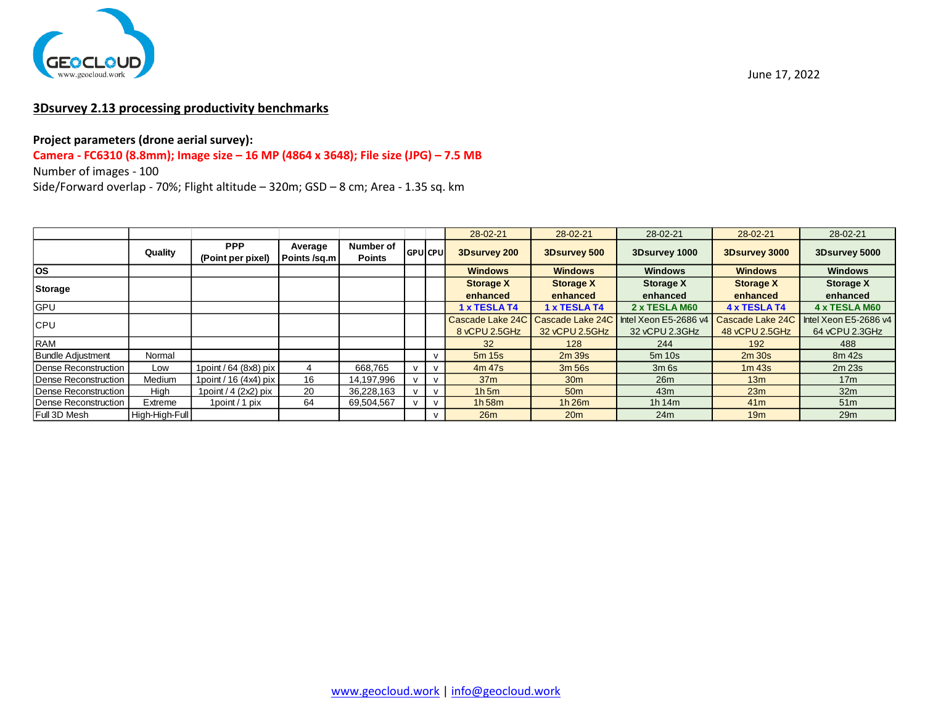

# **3Dsurvey 2.13 processing productivity benchmarks**

### **Project parameters (drone aerial survey):**

# **Camera - FC6310 (8.8mm); Image size – 16 MP (4864 x 3648); File size (JPG) – 7.5 MB**

Number of images - 100

|                          |                |                                 |                         |                            |                |              | 28-02-21         | 28-02-21         | 28-02-21                               | 28-02-21         | 28-02-21              |
|--------------------------|----------------|---------------------------------|-------------------------|----------------------------|----------------|--------------|------------------|------------------|----------------------------------------|------------------|-----------------------|
|                          | Quality        | <b>PPP</b><br>(Point per pixel) | Average<br>Points /sq.m | Number of<br><b>Points</b> | <b>GPUCPUL</b> |              | 3Dsurvey 200     | 3Dsurvey 500     | 3Dsurvey 1000                          | 3D survey 3000   | 3Dsurvey 5000         |
| <b>los</b>               |                |                                 |                         |                            |                |              | <b>Windows</b>   | <b>Windows</b>   | <b>Windows</b>                         | <b>Windows</b>   | <b>Windows</b>        |
| Storage                  |                |                                 |                         |                            |                |              | <b>Storage X</b> | <b>Storage X</b> | <b>Storage X</b>                       | <b>Storage X</b> | <b>Storage X</b>      |
|                          |                |                                 |                         |                            |                |              | enhanced         | enhanced         | enhanced                               | enhanced         | enhanced              |
| <b>GPU</b>               |                |                                 |                         |                            |                |              | 1 x TESLA T4     | 1 x TESLA T4     | 2 x TESLA M60                          | 4 x TESLA T4     | <b>4 x TESLA M60</b>  |
| <b>CPU</b>               |                |                                 |                         |                            |                |              | Cascade Lake 24C |                  | Cascade Lake 24C Intel Xeon E5-2686 v4 | Cascade Lake 24C | Intel Xeon E5-2686 v4 |
|                          |                |                                 |                         |                            |                |              | 8 vCPU 2.5GHz    | 32 vCPU 2.5GHz   | 32 vCPU 2.3GHz                         | 48 vCPU 2.5GHz   | 64 vCPU 2.3GHz        |
| <b>RAM</b>               |                |                                 |                         |                            |                |              | 32               | 128              | 244                                    | 192              | 488                   |
| <b>Bundle Adjustment</b> | Normal         |                                 |                         |                            |                |              | $5m$ 15s         | 2m39s            | $5m$ 10s                               | 2m30s            | 8m 42s                |
| Dense Reconstruction     | Low            | 1point / 64 (8x8) pix           |                         | 668.765                    | $\mathbf{v}$   | $\mathsf{v}$ | 4m 47s           | 3m 56s           | $3m$ 6s                                | $1m$ 43s         | $2m$ 23s              |
| Dense Reconstruction     | Medium         | 1 point / 16 $(4x4)$ pix        | 16                      | 14,197,996                 |                |              | 37 <sub>m</sub>  | 30 <sub>m</sub>  | 26m                                    | 13 <sub>m</sub>  | 17 <sub>m</sub>       |
| Dense Reconstruction     | High           | 1 point $/$ 4 (2x2) pix         | 20                      | 36,228,163                 |                | $\mathbf v$  | 1h5m             | 50 <sub>m</sub>  | 43m                                    | 23m              | 32 <sub>m</sub>       |
| Dense Reconstruction     | Extreme        | 1 point / 1 pix                 | 64                      | 69,504,567                 |                | v            | 1h58m            | 1h26m            | 1h $14m$                               | 41 <sub>m</sub>  | 51 <sub>m</sub>       |
| Full 3D Mesh             | High-High-Full |                                 |                         |                            |                |              | 26m              | 20 <sub>m</sub>  | 24m                                    | 19 <sub>m</sub>  | 29m                   |